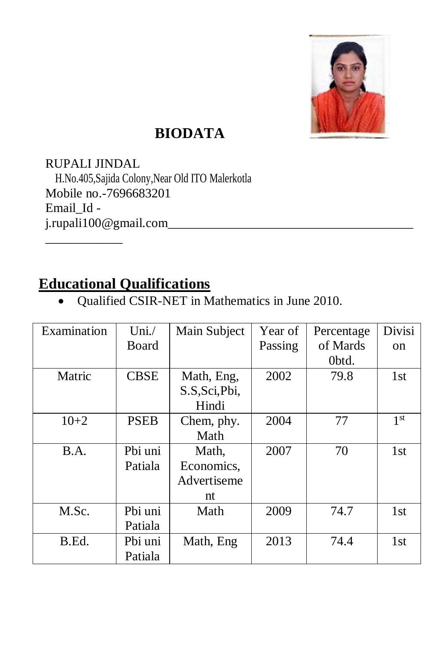

## **BIODATA**

RUPALI JINDAL H.No.405,Sajida Colony,Near Old ITO Malerkotla Mobile no.-7696683201 Email\_Id j.rupali100@gmail.com\_\_\_\_\_\_\_\_\_\_\_\_\_\_\_\_\_\_\_\_\_\_\_\_\_\_\_\_\_\_\_\_\_\_\_\_\_\_ \_\_\_\_\_\_\_\_\_\_\_\_

#### **Educational Qualifications**

Qualified CSIR-NET in Mathematics in June 2010.

| Examination | Uni. $/$    | Main Subject | Year of | Percentage | <b>Divisi</b>   |
|-------------|-------------|--------------|---------|------------|-----------------|
|             | Board       |              | Passing | of Mards   | <sub>on</sub>   |
|             |             |              |         | Obtd.      |                 |
| Matric      | <b>CBSE</b> | Math, Eng,   | 2002    | 79.8       | 1st             |
|             |             | S.S.Sci,Pbi, |         |            |                 |
|             |             | Hindi        |         |            |                 |
| $10+2$      | <b>PSEB</b> | Chem, phy.   | 2004    | 77         | 1 <sup>st</sup> |
|             |             | Math         |         |            |                 |
| B.A.        | Pbi uni     | Math,        | 2007    | 70         | 1st             |
|             | Patiala     | Economics,   |         |            |                 |
|             |             | Advertiseme  |         |            |                 |
|             |             | nt           |         |            |                 |
| M.Sc.       | Pbi uni     | Math         | 2009    | 74.7       | 1st             |
|             | Patiala     |              |         |            |                 |
| B.Ed.       | Pbi uni     | Math, Eng    | 2013    | 74.4       | 1st             |
|             | Patiala     |              |         |            |                 |